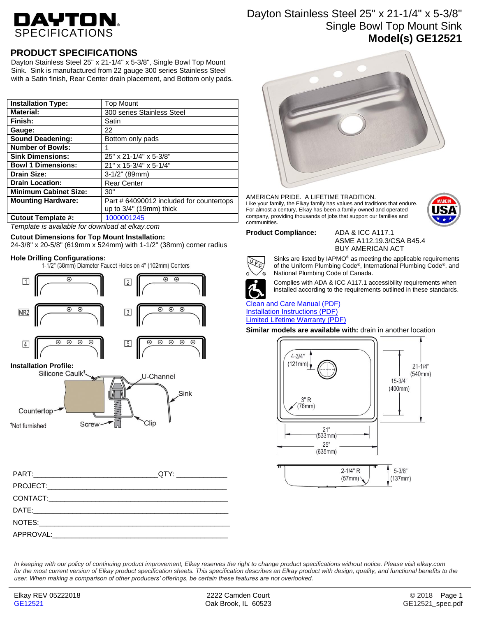# DAYTON.

# Dayton Stainless Steel 25" x 21-1/4" x 5-3/8" Single Bowl Top Mount Sink **Model(s) GE12521**

# **PRODUCT SPECIFICATIONS**

Dayton Stainless Steel 25" x 21-1/4" x 5-3/8", Single Bowl Top Mount Sink. Sink is manufactured from 22 gauge 300 series Stainless Steel with a Satin finish, Rear Center drain placement, and Bottom only pads.

| <b>Installation Type:</b>    | <b>Top Mount</b>                         |
|------------------------------|------------------------------------------|
| <b>Material:</b>             | 300 series Stainless Steel               |
| Finish:                      | Satin                                    |
| Gauge:                       | 22                                       |
| <b>Sound Deadening:</b>      | Bottom only pads                         |
| <b>Number of Bowls:</b>      |                                          |
| <b>Sink Dimensions:</b>      | 25" x 21-1/4" x 5-3/8"                   |
| <b>Bowl 1 Dimensions:</b>    | 21" x 15-3/4" x 5-1/4"                   |
| <b>Drain Size:</b>           | $3-1/2"$ (89mm)                          |
| <b>Drain Location:</b>       | <b>Rear Center</b>                       |
| <b>Minimum Cabinet Size:</b> | 30"                                      |
| <b>Mounting Hardware:</b>    | Part # 64090012 included for countertops |
|                              | up to $3/4$ " (19mm) thick               |
| <b>Cutout Template #:</b>    | 1000001245                               |

*Template is available for download at elkay.com*

### **Cutout Dimensions for Top Mount Installation:**

24-3/8" x 20-5/8" (619mm x 524mm) with 1-1/2" (38mm) corner radius

**Hole Drilling Configurations:**



| PART: QTY: |  |
|------------|--|
|            |  |
|            |  |
|            |  |
|            |  |
|            |  |



AMERICAN PRIDE. A LIFETIME TRADITION. Like your family, the Elkay family has values and traditions that endure. For almost a century, Elkay has been a family-owned and operated company, providing thousands of jobs that support our families and communities.



### **Product Compliance:** ADA & ICC A117.1

ASME A112.19.3/CSA B45.4 BUY AMERICAN ACT



Sinks are listed by IAPMO® as meeting the applicable requirements of the Uniform Plumbing Code®, International Plumbing Code®, and National Plumbing Code of Canada.

Complies with ADA & ICC A117.1 accessibility requirements when installed according to the requirements outlined in these standards.

### [Clean and Care Manual \(PDF\)](http://www.elkay.com/wcsstore/lkdocs/care-cleaning-install-warranty-sheets/residential%20and%20commercial%20care%20%20cleaning.pdf) [Installation Instructions \(PDF\)](http://www.elkay.com/wcsstore/lkdocs/care-cleaning-install-warranty-sheets/64180036.pdf) [Limited Lifetime Warranty](http://www.elkay.com/wcsstore/lkdocs/care-cleaning-install-warranty-sheets/residential%20sinks%20warranty.pdf) (PDF)

**Similar models are available with:** drain in another location



*In keeping with our policy of continuing product improvement, Elkay reserves the right to change product specifications without notice. Please visit elkay.com for the most current version of Elkay product specification sheets. This specification describes an Elkay product with design, quality, and functional benefits to the user. When making a comparison of other producers' offerings, be certain these features are not overlooked.*